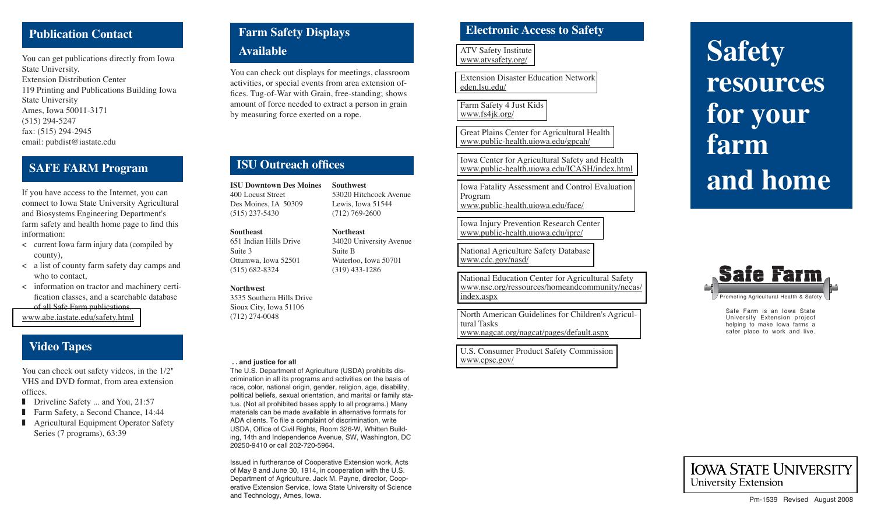# **Publication Contact**

You can get publications directly from Iowa State University. Extension Distribution Center119 Printing and Publications Building Iowa State University Ames, Iowa 50011-3171 (515) 294-5247 fax: (515) 294-2945 email: pubdist@iastate.edu

# **SAFE FARM Program**

If you have access to the Internet, you can connect to Iowa State University Agricultural and Biosystems Engineering Department's farm safety and health home page to find this information:

- < current Iowa farm injury data (compiled by county),
- < a list of county farm safety day camps and who to contact,
- < information on tractor and machinery certification classes, and a searchable database of all Safe Farm publications.

[www.abe.iastate.edu/safety.html](http://www.abe.iastate.edu/safety.html)

# **Video Tapes**

You can check out safety videos, in the 1/2" VHS and DVD format, from area extension offices.

- Driveline Safety ... and You, 21:57
- Farm Safety, a Second Chance, 14:44
- Agricultural Equipment Operator Safety Series (7 programs), 63:39

# **Farm Safety Displays**

# **Available**

You can check out displays for meetings, classroom activities, or special events from area extension offices. Tug-of-War with Grain, free-standing; shows amount of force needed to extract a person in grain by measuring force exerted on a rope.

**Southwest**

**Northeast**

Suite B

53020 Hitchcock AvenueLewis, Iowa 51544 (712) 769-2600

34020 University Avenue

Waterloo, Iowa 50701 (319) 433-1286

# **ISU Outreach offices**

**ISU Downtown Des Moines**400 Locust StreetDes Moines, IA 50309 (515) 237-5430

#### **Southeast**

651 Indian Hills DriveSuite 3Ottumwa, Iowa 52501 (515) 682-8324

#### **Northwest**

3535 Southern Hills DriveSioux City, Iowa 51106 (712) 274-0048

#### **. . and justice for all**

The U.S. Department of Agriculture (USDA) prohibits discrimination in all its programs and activities on the basis of race, color, national origin, gender, religion, age, disability, political beliefs, sexual orientation, and marital or family status. (Not all prohibited bases apply to all programs.) Many materials can be made available in alternative formats for ADA clients. To file a complaint of discrimination, write USDA, Office of Civil Rights, Room 326-W, Whitten Building, 14th and Independence Avenue, SW, Washington, DC 20250-9410 or call 202-720-5964.

Issued in furtherance of Cooperative Extension work, Acts of May 8 and June 30, 1914, in cooperation with the U.S. Department of Agriculture. Jack M. Payne, director, Cooperative Extension Service, Iowa State University of Science and Technology, Ames, Iowa.

# **Electronic Access to Safety**

[ATV Safety Institute](http://www.atvsafety.org) www.atvsafety.org/

[Extension Disaster Education Network](http://eden.lsu.edu) eden.lsu.edu/

[Farm Safety 4 Just Kids](http://www.fs4jk.org) www.fs4jk.org/

[Great Plains Center for Agricultural Health](http://www.public-health.uiowa.edu/gpcah/) www.public-health.uiowa.edu/gpcah/

[Iowa Center for Agricultural Safety and Health](http://www.public-health.uiowa.edu/ICASH/index.html) www.public-health.uiowa.edu/ICASH/index.html

[Iowa Fatality Assessment and Control Evaluation](http://www.public-health.uiowa.edu/face/)  Program www.public-health.uiowa.edu/face/

[Iowa Injury Prevention Research Center](http://www.public-health.uiowa.edu/iprc/) www.public-health.uiowa.edu/iprc/

[National Agriculture Safety Database](http://www.cdc.gov/nasd/) www.cdc.gov/nasd/

National Education Center for Agricultural Safety [www.nsc.org/ressources/homeandcommunity/necas/](http://www.nsc.org/resources/homeandcommunity/necas/index.aspx) index.aspx

[North American Guidelines for Children's Agricul](http://www.nagcat.org/nagcat/pages/default.aspx)tural Taskswww.nagcat.org/nagcat/pages/default.aspx

[U.S. Consumer Product Safety Commission](http://www.cpsc.gov) www.cpsc.gov/

# **Safety resources for your farm and home**



Safe Farm is an Iowa State University Extension project helping to make Iowa farms a safer place to work and live.